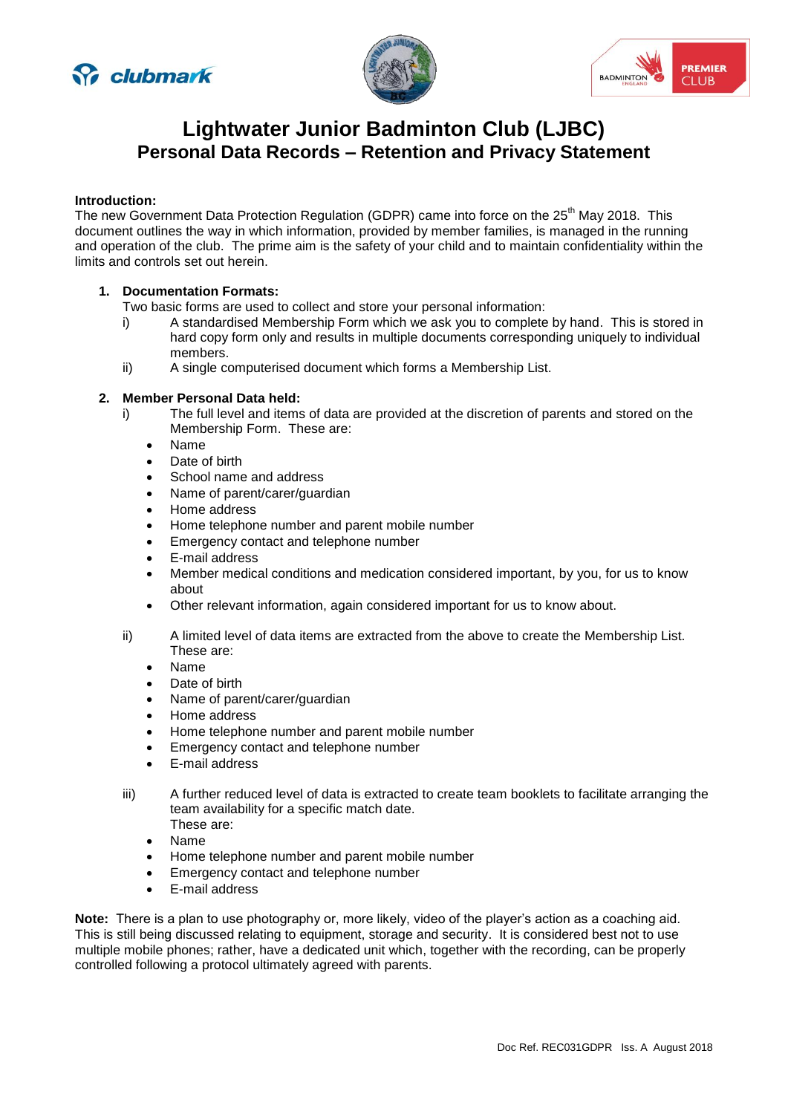





## **Lightwater Junior Badminton Club (LJBC) Personal Data Records – Retention and Privacy Statement**

### **Introduction:**

The new Government Data Protection Regulation (GDPR) came into force on the 25<sup>th</sup> May 2018. This document outlines the way in which information, provided by member families, is managed in the running and operation of the club. The prime aim is the safety of your child and to maintain confidentiality within the limits and controls set out herein.

#### **1. Documentation Formats:**

Two basic forms are used to collect and store your personal information:

- i) A standardised Membership Form which we ask you to complete by hand. This is stored in hard copy form only and results in multiple documents corresponding uniquely to individual members.
- ii) A single computerised document which forms a Membership List.

#### **2. Member Personal Data held:**

- i) The full level and items of data are provided at the discretion of parents and stored on the Membership Form. These are:
	- Name
	- Date of birth
	- School name and address
	- Name of parent/carer/guardian
	- Home address
	- Home telephone number and parent mobile number
	- Emergency contact and telephone number
	- E-mail address
	- Member medical conditions and medication considered important, by you, for us to know about
	- Other relevant information, again considered important for us to know about.
- ii) A limited level of data items are extracted from the above to create the Membership List. These are:
	- Name
	- Date of birth
	- Name of parent/carer/guardian
	- Home address
	- Home telephone number and parent mobile number
	- Emergency contact and telephone number
	- E-mail address
- iii) A further reduced level of data is extracted to create team booklets to facilitate arranging the team availability for a specific match date. These are:
	- Name
	- Home telephone number and parent mobile number
	- Emergency contact and telephone number
	- E-mail address

**Note:** There is a plan to use photography or, more likely, video of the player's action as a coaching aid. This is still being discussed relating to equipment, storage and security. It is considered best not to use multiple mobile phones; rather, have a dedicated unit which, together with the recording, can be properly controlled following a protocol ultimately agreed with parents.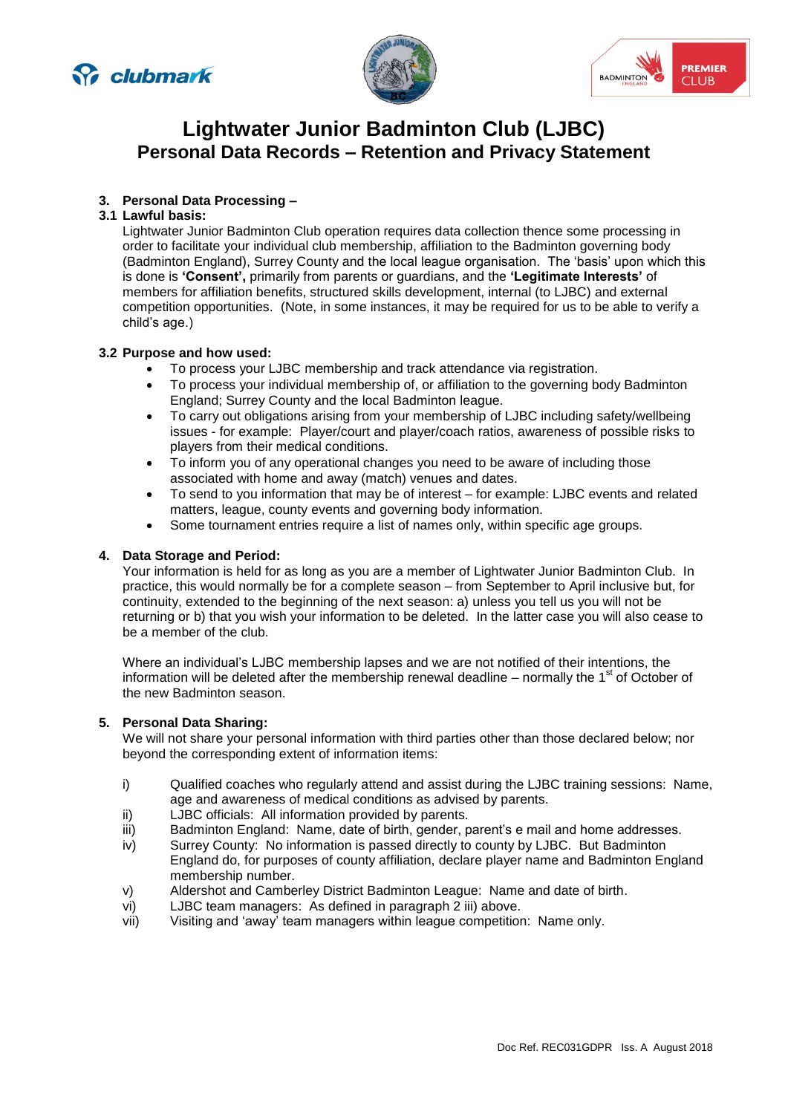





# **Lightwater Junior Badminton Club (LJBC) Personal Data Records – Retention and Privacy Statement**

## **3. Personal Data Processing –**

## **3.1 Lawful basis:**

Lightwater Junior Badminton Club operation requires data collection thence some processing in order to facilitate your individual club membership, affiliation to the Badminton governing body (Badminton England), Surrey County and the local league organisation. The 'basis' upon which this is done is **'Consent',** primarily from parents or guardians, and the **'Legitimate Interests'** of members for affiliation benefits, structured skills development, internal (to LJBC) and external competition opportunities. (Note, in some instances, it may be required for us to be able to verify a child's age.)

#### **3.2 Purpose and how used:**

- To process your LJBC membership and track attendance via registration.
- To process your individual membership of, or affiliation to the governing body Badminton England; Surrey County and the local Badminton league.
- To carry out obligations arising from your membership of LJBC including safety/wellbeing issues - for example: Player/court and player/coach ratios, awareness of possible risks to players from their medical conditions.
- To inform you of any operational changes you need to be aware of including those associated with home and away (match) venues and dates.
- To send to you information that may be of interest for example: LJBC events and related matters, league, county events and governing body information.
- Some tournament entries require a list of names only, within specific age groups.

#### **4. Data Storage and Period:**

Your information is held for as long as you are a member of Lightwater Junior Badminton Club. In practice, this would normally be for a complete season – from September to April inclusive but, for continuity, extended to the beginning of the next season: a) unless you tell us you will not be returning or b) that you wish your information to be deleted. In the latter case you will also cease to be a member of the club.

Where an individual's LJBC membership lapses and we are not notified of their intentions, the information will be deleted after the membership renewal deadline – normally the  $1<sup>st</sup>$  of October of the new Badminton season.

## **5. Personal Data Sharing:**

We will not share your personal information with third parties other than those declared below; nor beyond the corresponding extent of information items:

- i) Qualified coaches who regularly attend and assist during the LJBC training sessions: Name, age and awareness of medical conditions as advised by parents.
- ii) LJBC officials: All information provided by parents.
- iii) Badminton England: Name, date of birth, gender, parent's e mail and home addresses.
- iv) Surrey County: No information is passed directly to county by LJBC. But Badminton England do, for purposes of county affiliation, declare player name and Badminton England membership number.
- v) Aldershot and Camberley District Badminton League: Name and date of birth.
- vi) LJBC team managers: As defined in paragraph 2 iii) above.
- vii) Visiting and 'away' team managers within league competition: Name only.